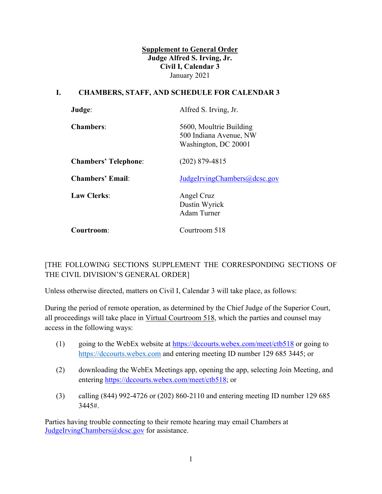**Supplement to General Order Judge Alfred S. Irving, Jr. Civil I, Calendar 3**  January 2021

#### **I. CHAMBERS, STAFF, AND SCHEDULE FOR CALENDAR 3**

| Judge:                      | Alfred S. Irving, Jr.                                                     |
|-----------------------------|---------------------------------------------------------------------------|
| <b>Chambers:</b>            | 5600, Moultrie Building<br>500 Indiana Avenue, NW<br>Washington, DC 20001 |
| <b>Chambers' Telephone:</b> | $(202)$ 879-4815                                                          |
| <b>Chambers' Email:</b>     | JudgeIrvingChambers@dcsc.gov                                              |
| <b>Law Clerks:</b>          | Angel Cruz<br>Dustin Wyrick<br>Adam Turner                                |
| Courtroom:                  | Courtroom 518                                                             |

# [THE FOLLOWING SECTIONS SUPPLEMENT THE CORRESPONDING SECTIONS OF THE CIVIL DIVISION'S GENERAL ORDER]

Unless otherwise directed, matters on Civil I, Calendar 3 will take place, as follows:

During the period of remote operation, as determined by the Chief Judge of the Superior Court, all proceedings will take place in Virtual Courtroom 518, which the parties and counsel may access in the following ways:

- (1) going to the WebEx website at https://dccourts.webex.com/meet/ctb518 or going to https://dccourts.webex.com and entering meeting ID number 129 685 3445; or
- (2) downloading the WebEx Meetings app, opening the app, selecting Join Meeting, and entering https://dccourts.webex.com/meet/ctb518; or
- (3) calling (844) 992-4726 or (202) 860-2110 and entering meeting ID number 129 685 3445#.

Parties having trouble connecting to their remote hearing may email Chambers at JudgeIrvingChambers@dcsc.gov for assistance.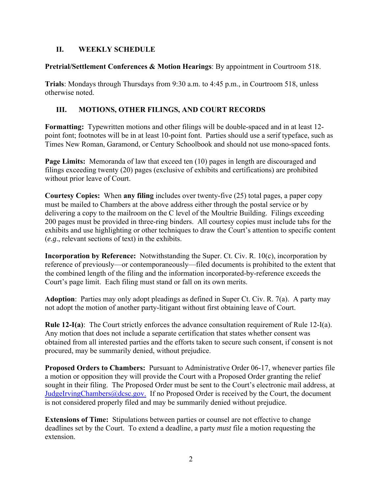### **II. WEEKLY SCHEDULE**

### **Pretrial/Settlement Conferences & Motion Hearings**: By appointment in Courtroom 518.

**Trials**: Mondays through Thursdays from 9:30 a.m. to 4:45 p.m., in Courtroom 518, unless otherwise noted.

# **III. MOTIONS, OTHER FILINGS, AND COURT RECORDS**

**Formatting:** Typewritten motions and other filings will be double-spaced and in at least 12 point font; footnotes will be in at least 10-point font. Parties should use a serif typeface, such as Times New Roman, Garamond, or Century Schoolbook and should not use mono-spaced fonts.

**Page Limits:** Memoranda of law that exceed ten (10) pages in length are discouraged and filings exceeding twenty (20) pages (exclusive of exhibits and certifications) are prohibited without prior leave of Court.

**Courtesy Copies:** When **any filing** includes over twenty-five (25) total pages, a paper copy must be mailed to Chambers at the above address either through the postal service or by delivering a copy to the mailroom on the C level of the Moultrie Building. Filings exceeding 200 pages must be provided in three-ring binders. All courtesy copies must include tabs for the exhibits and use highlighting or other techniques to draw the Court's attention to specific content (*e.g*., relevant sections of text) in the exhibits.

**Incorporation by Reference:** Notwithstanding the Super. Ct. Civ. R. 10(c), incorporation by reference of previously—or contemporaneously—filed documents is prohibited to the extent that the combined length of the filing and the information incorporated-by-reference exceeds the Court's page limit. Each filing must stand or fall on its own merits.

**Adoption**: Parties may only adopt pleadings as defined in Super Ct. Civ. R. 7(a). A party may not adopt the motion of another party-litigant without first obtaining leave of Court.

**Rule 12-I(a)**: The Court strictly enforces the advance consultation requirement of Rule 12-I(a). Any motion that does not include a separate certification that states whether consent was obtained from all interested parties and the efforts taken to secure such consent, if consent is not procured, may be summarily denied, without prejudice.

**Proposed Orders to Chambers:** Pursuant to Administrative Order 06-17, whenever parties file a motion or opposition they will provide the Court with a Proposed Order granting the relief sought in their filing. The Proposed Order must be sent to the Court's electronic mail address, at JudgeIrvingChambers@dcsc.gov. If no Proposed Order is received by the Court, the document is not considered properly filed and may be summarily denied without prejudice.

**Extensions of Time:** Stipulations between parties or counsel are not effective to change deadlines set by the Court. To extend a deadline, a party *must* file a motion requesting the extension.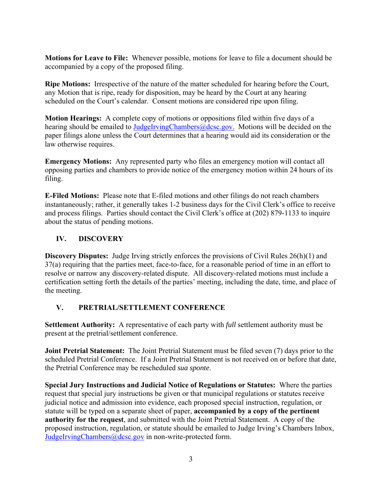**Motions for Leave to File:** Whenever possible, motions for leave to file a document should be accompanied by a copy of the proposed filing.

**Ripe Motions:** Irrespective of the nature of the matter scheduled for hearing before the Court, any Motion that is ripe, ready for disposition, may be heard by the Court at any hearing scheduled on the Court's calendar. Consent motions are considered ripe upon filing.

**Motion Hearings:** A complete copy of motions or oppositions filed within five days of a hearing should be emailed to JudgeIrvingChambers@dcsc.gov. Motions will be decided on the paper filings alone unless the Court determines that a hearing would aid its consideration or the law otherwise requires.

**Emergency Motions:** Any represented party who files an emergency motion will contact all opposing parties and chambers to provide notice of the emergency motion within 24 hours of its filing.

**E-Filed Motions:** Please note that E-filed motions and other filings do not reach chambers instantaneously; rather, it generally takes 1-2 business days for the Civil Clerk's office to receive and process filings. Parties should contact the Civil Clerk's office at (202) 879-1133 to inquire about the status of pending motions.

# **IV. DISCOVERY**

**Discovery Disputes:** Judge Irving strictly enforces the provisions of Civil Rules 26(h)(1) and 37(a) requiring that the parties meet, face-to-face, for a reasonable period of time in an effort to resolve or narrow any discovery-related dispute. All discovery-related motions must include a certification setting forth the details of the parties' meeting, including the date, time, and place of the meeting.

#### **V. PRETRIAL/SETTLEMENT CONFERENCE**

**Settlement Authority:** A representative of each party with *full* settlement authority must be present at the pretrial/settlement conference.

**Joint Pretrial Statement:** The Joint Pretrial Statement must be filed seven (7) days prior to the scheduled Pretrial Conference. If a Joint Pretrial Statement is not received on or before that date, the Pretrial Conference may be rescheduled *sua sponte*.

**Special Jury Instructions and Judicial Notice of Regulations or Statutes:** Where the parties request that special jury instructions be given or that municipal regulations or statutes receive judicial notice and admission into evidence, each proposed special instruction, regulation, or statute will be typed on a separate sheet of paper, **accompanied by a copy of the pertinent authority for the request**, and submitted with the Joint Pretrial Statement. A copy of the proposed instruction, regulation, or statute should be emailed to Judge Irving's Chambers Inbox, JudgeIrvingChambers@dcsc.gov in non-write-protected form.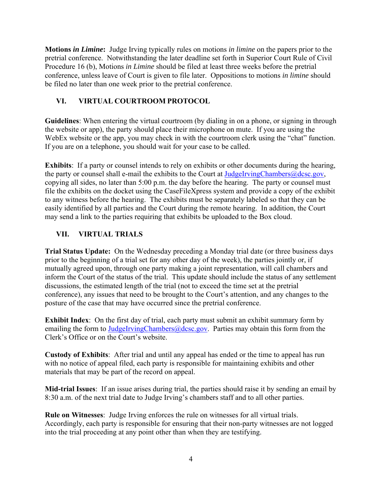**Motions** *in Limine***:** Judge Irving typically rules on motions *in limine* on the papers prior to the pretrial conference. Notwithstanding the later deadline set forth in Superior Court Rule of Civil Procedure 16 (b), Motions *in Limine* should be filed at least three weeks before the pretrial conference, unless leave of Court is given to file later. Oppositions to motions *in limine* should be filed no later than one week prior to the pretrial conference.

### **VI. VIRTUAL COURTROOM PROTOCOL**

**Guidelines**: When entering the virtual courtroom (by dialing in on a phone, or signing in through the website or app), the party should place their microphone on mute. If you are using the WebEx website or the app, you may check in with the courtroom clerk using the "chat" function. If you are on a telephone, you should wait for your case to be called.

**Exhibits**: If a party or counsel intends to rely on exhibits or other documents during the hearing, the party or counsel shall e-mail the exhibits to the Court at JudgeIrvingChambers@dcsc.gov, copying all sides, no later than 5:00 p.m. the day before the hearing. The party or counsel must file the exhibits on the docket using the CaseFileXpress system and provide a copy of the exhibit to any witness before the hearing. The exhibits must be separately labeled so that they can be easily identified by all parties and the Court during the remote hearing. In addition, the Court may send a link to the parties requiring that exhibits be uploaded to the Box cloud.

# **VII. VIRTUAL TRIALS**

**Trial Status Update:** On the Wednesday preceding a Monday trial date (or three business days prior to the beginning of a trial set for any other day of the week), the parties jointly or, if mutually agreed upon, through one party making a joint representation, will call chambers and inform the Court of the status of the trial. This update should include the status of any settlement discussions, the estimated length of the trial (not to exceed the time set at the pretrial conference), any issues that need to be brought to the Court's attention, and any changes to the posture of the case that may have occurred since the pretrial conference.

**Exhibit Index**: On the first day of trial, each party must submit an exhibit summary form by emailing the form to JudgeIrvingChambers@dcsc.gov. Parties may obtain this form from the Clerk's Office or on the Court's website.

**Custody of Exhibits**: After trial and until any appeal has ended or the time to appeal has run with no notice of appeal filed, each party is responsible for maintaining exhibits and other materials that may be part of the record on appeal.

**Mid-trial Issues**: If an issue arises during trial, the parties should raise it by sending an email by 8:30 a.m. of the next trial date to Judge Irving's chambers staff and to all other parties.

**Rule on Witnesses**: Judge Irving enforces the rule on witnesses for all virtual trials. Accordingly, each party is responsible for ensuring that their non-party witnesses are not logged into the trial proceeding at any point other than when they are testifying.